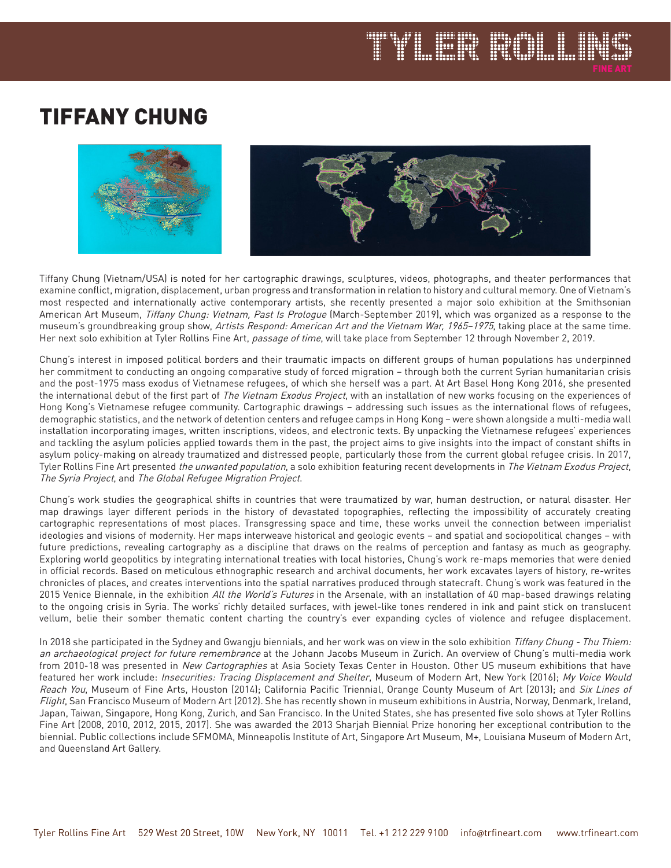## TIFFANY CHUNG



FLETR FIGHT

Tiffany Chung (Vietnam/USA) is noted for her cartographic drawings, sculptures, videos, photographs, and theater performances that examine conflict, migration, displacement, urban progress and transformation in relation to history and cultural memory. One of Vietnam's most respected and internationally active contemporary artists, she recently presented a major solo exhibition at the Smithsonian American Art Museum, Tiffany Chung: Vietnam, Past Is Prologue (March-September 2019), which was organized as a response to the museum's groundbreaking group show, Artists Respond: American Art and the Vietnam War, 1965-1975, taking place at the same time. Her next solo exhibition at Tyler Rollins Fine Art, passage of time, will take place from September 12 through November 2, 2019.

Chung's interest in imposed political borders and their traumatic impacts on different groups of human populations has underpinned her commitment to conducting an ongoing comparative study of forced migration – through both the current Syrian humanitarian crisis and the post-1975 mass exodus of Vietnamese refugees, of which she herself was a part. At Art Basel Hong Kong 2016, she presented the international debut of the first part of The Vietnam Exodus Project, with an installation of new works focusing on the experiences of Hong Kong's Vietnamese refugee community. Cartographic drawings – addressing such issues as the international flows of refugees, demographic statistics, and the network of detention centers and refugee camps in Hong Kong – were shown alongside a multi-media wall installation incorporating images, written inscriptions, videos, and electronic texts. By unpacking the Vietnamese refugees' experiences and tackling the asylum policies applied towards them in the past, the project aims to give insights into the impact of constant shifts in asylum policy-making on already traumatized and distressed people, particularly those from the current global refugee crisis. In 2017, Tyler Rollins Fine Art presented the unwanted population, a solo exhibition featuring recent developments in The Vietnam Exodus Project, The Syria Project, and The Global Refugee Migration Project.

Chung's work studies the geographical shifts in countries that were traumatized by war, human destruction, or natural disaster. Her map drawings layer different periods in the history of devastated topographies, reflecting the impossibility of accurately creating cartographic representations of most places. Transgressing space and time, these works unveil the connection between imperialist ideologies and visions of modernity. Her maps interweave historical and geologic events – and spatial and sociopolitical changes – with future predictions, revealing cartography as a discipline that draws on the realms of perception and fantasy as much as geography. Exploring world geopolitics by integrating international treaties with local histories, Chung's work re-maps memories that were denied in official records. Based on meticulous ethnographic research and archival documents, her work excavates layers of history, re-writes chronicles of places, and creates interventions into the spatial narratives produced through statecraft. Chung's work was featured in the 2015 Venice Biennale, in the exhibition All the World's Futures in the Arsenale, with an installation of 40 map-based drawings relating to the ongoing crisis in Syria. The works' richly detailed surfaces, with jewel-like tones rendered in ink and paint stick on translucent vellum, belie their somber thematic content charting the country's ever expanding cycles of violence and refugee displacement.

In 2018 she participated in the Sydney and Gwangju biennials, and her work was on view in the solo exhibition Tiffany Chung - Thu Thiem: an archaeological project for future remembrance at the Johann Jacobs Museum in Zurich. An overview of Chung's multi-media work from 2010-18 was presented in New Cartographies at Asia Society Texas Center in Houston. Other US museum exhibitions that have featured her work include: *Insecurities: Tracing Displacement and Shelter*, Museum of Modern Art, New York (2016); My Voice Would Reach You, Museum of Fine Arts, Houston (2014); California Pacific Triennial, Orange County Museum of Art (2013); and Six Lines of Flight, San Francisco Museum of Modern Art (2012). She has recently shown in museum exhibitions in Austria, Norway, Denmark, Ireland, Japan, Taiwan, Singapore, Hong Kong, Zurich, and San Francisco. In the United States, she has presented five solo shows at Tyler Rollins Fine Art (2008, 2010, 2012, 2015, 2017). She was awarded the 2013 Sharjah Biennial Prize honoring her exceptional contribution to the biennial. Public collections include SFMOMA, Minneapolis Institute of Art, Singapore Art Museum, M+, Louisiana Museum of Modern Art, and Queensland Art Gallery.